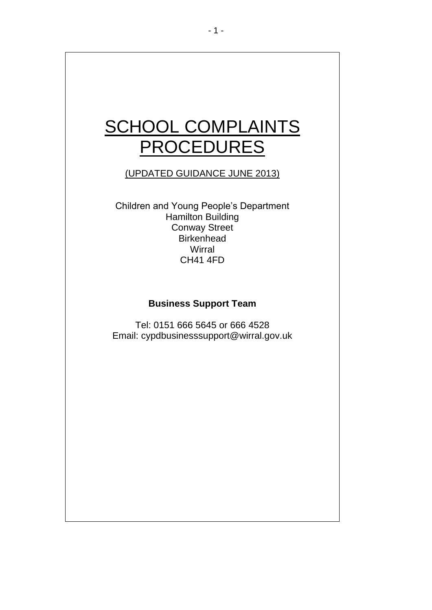# SCHOOL COMPLAINTS **PROCEDURES**

# (UPDATED GUIDANCE JUNE 2013)

Children and Young People's Department Hamilton Building Conway Street **Birkenhead Wirral** CH41 4FD

# **Business Support Team**

Tel: 0151 666 5645 or 666 4528 Email: cypdbusinesssupport@wirral.gov.uk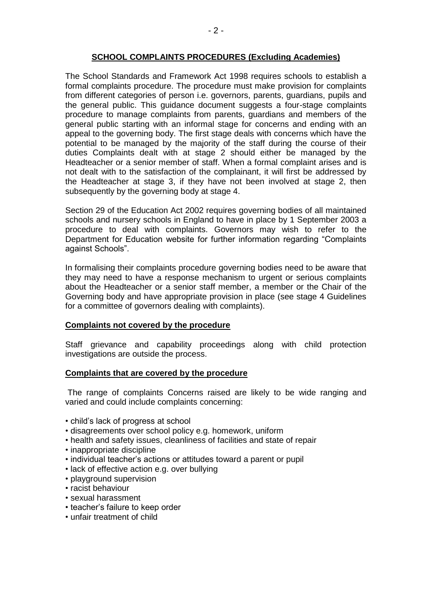## **SCHOOL COMPLAINTS PROCEDURES (Excluding Academies)**

The School Standards and Framework Act 1998 requires schools to establish a formal complaints procedure. The procedure must make provision for complaints from different categories of person i.e. governors, parents, guardians, pupils and the general public. This guidance document suggests a four-stage complaints procedure to manage complaints from parents, guardians and members of the general public starting with an informal stage for concerns and ending with an appeal to the governing body. The first stage deals with concerns which have the potential to be managed by the majority of the staff during the course of their duties Complaints dealt with at stage 2 should either be managed by the Headteacher or a senior member of staff. When a formal complaint arises and is not dealt with to the satisfaction of the complainant, it will first be addressed by the Headteacher at stage 3, if they have not been involved at stage 2, then subsequently by the governing body at stage 4.

Section 29 of the Education Act 2002 requires governing bodies of all maintained schools and nursery schools in England to have in place by 1 September 2003 a procedure to deal with complaints. Governors may wish to refer to the Department for Education website for further information regarding "Complaints against Schools".

In formalising their complaints procedure governing bodies need to be aware that they may need to have a response mechanism to urgent or serious complaints about the Headteacher or a senior staff member, a member or the Chair of the Governing body and have appropriate provision in place (see stage 4 Guidelines for a committee of governors dealing with complaints).

### **Complaints not covered by the procedure**

Staff grievance and capability proceedings along with child protection investigations are outside the process.

### **Complaints that are covered by the procedure**

The range of complaints Concerns raised are likely to be wide ranging and varied and could include complaints concerning:

- child's lack of progress at school
- disagreements over school policy e.g. homework, uniform
- health and safety issues, cleanliness of facilities and state of repair
- inappropriate discipline
- individual teacher's actions or attitudes toward a parent or pupil
- lack of effective action e.g. over bullying
- playground supervision
- racist behaviour
- sexual harassment
- teacher's failure to keep order
- unfair treatment of child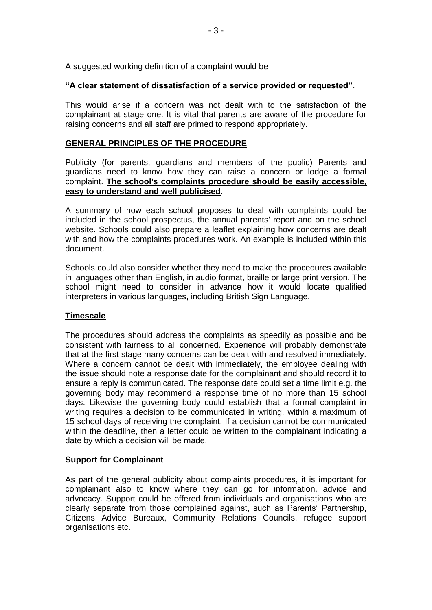A suggested working definition of a complaint would be

# **"A clear statement of dissatisfaction of a service provided or requested"**.

This would arise if a concern was not dealt with to the satisfaction of the complainant at stage one. It is vital that parents are aware of the procedure for raising concerns and all staff are primed to respond appropriately.

### **GENERAL PRINCIPLES OF THE PROCEDURE**

Publicity (for parents, guardians and members of the public) Parents and guardians need to know how they can raise a concern or lodge a formal complaint. **The school's complaints procedure should be easily accessible, easy to understand and well publicised**.

A summary of how each school proposes to deal with complaints could be included in the school prospectus, the annual parents' report and on the school website. Schools could also prepare a leaflet explaining how concerns are dealt with and how the complaints procedures work. An example is included within this document.

Schools could also consider whether they need to make the procedures available in languages other than English, in audio format, braille or large print version. The school might need to consider in advance how it would locate qualified interpreters in various languages, including British Sign Language.

# **Timescale**

The procedures should address the complaints as speedily as possible and be consistent with fairness to all concerned. Experience will probably demonstrate that at the first stage many concerns can be dealt with and resolved immediately. Where a concern cannot be dealt with immediately, the employee dealing with the issue should note a response date for the complainant and should record it to ensure a reply is communicated. The response date could set a time limit e.g. the governing body may recommend a response time of no more than 15 school days. Likewise the governing body could establish that a formal complaint in writing requires a decision to be communicated in writing, within a maximum of 15 school days of receiving the complaint. If a decision cannot be communicated within the deadline, then a letter could be written to the complainant indicating a date by which a decision will be made.

### **Support for Complainant**

As part of the general publicity about complaints procedures, it is important for complainant also to know where they can go for information, advice and advocacy. Support could be offered from individuals and organisations who are clearly separate from those complained against, such as Parents' Partnership, Citizens Advice Bureaux, Community Relations Councils, refugee support organisations etc.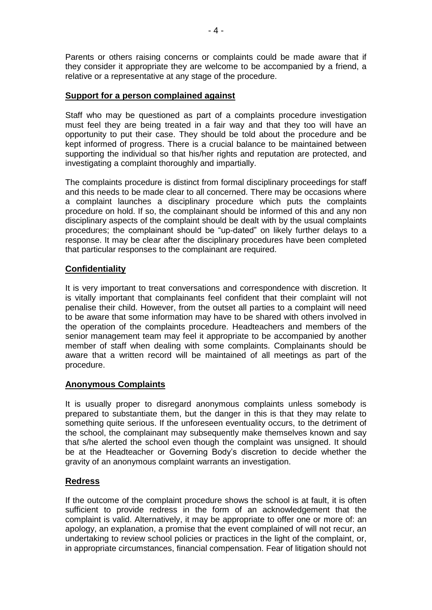Parents or others raising concerns or complaints could be made aware that if they consider it appropriate they are welcome to be accompanied by a friend, a relative or a representative at any stage of the procedure.

### **Support for a person complained against**

Staff who may be questioned as part of a complaints procedure investigation must feel they are being treated in a fair way and that they too will have an opportunity to put their case. They should be told about the procedure and be kept informed of progress. There is a crucial balance to be maintained between supporting the individual so that his/her rights and reputation are protected, and investigating a complaint thoroughly and impartially.

The complaints procedure is distinct from formal disciplinary proceedings for staff and this needs to be made clear to all concerned. There may be occasions where a complaint launches a disciplinary procedure which puts the complaints procedure on hold. If so, the complainant should be informed of this and any non disciplinary aspects of the complaint should be dealt with by the usual complaints procedures; the complainant should be "up-dated" on likely further delays to a response. It may be clear after the disciplinary procedures have been completed that particular responses to the complainant are required.

# **Confidentiality**

It is very important to treat conversations and correspondence with discretion. It is vitally important that complainants feel confident that their complaint will not penalise their child. However, from the outset all parties to a complaint will need to be aware that some information may have to be shared with others involved in the operation of the complaints procedure. Headteachers and members of the senior management team may feel it appropriate to be accompanied by another member of staff when dealing with some complaints. Complainants should be aware that a written record will be maintained of all meetings as part of the procedure.

# **Anonymous Complaints**

It is usually proper to disregard anonymous complaints unless somebody is prepared to substantiate them, but the danger in this is that they may relate to something quite serious. If the unforeseen eventuality occurs, to the detriment of the school, the complainant may subsequently make themselves known and say that s/he alerted the school even though the complaint was unsigned. It should be at the Headteacher or Governing Body's discretion to decide whether the gravity of an anonymous complaint warrants an investigation.

# **Redress**

If the outcome of the complaint procedure shows the school is at fault, it is often sufficient to provide redress in the form of an acknowledgement that the complaint is valid. Alternatively, it may be appropriate to offer one or more of: an apology, an explanation, a promise that the event complained of will not recur, an undertaking to review school policies or practices in the light of the complaint, or, in appropriate circumstances, financial compensation. Fear of litigation should not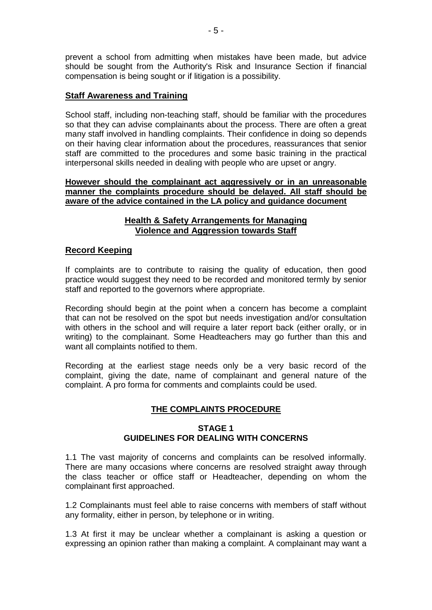prevent a school from admitting when mistakes have been made, but advice should be sought from the Authority's Risk and Insurance Section if financial compensation is being sought or if litigation is a possibility.

### **Staff Awareness and Training**

School staff, including non-teaching staff, should be familiar with the procedures so that they can advise complainants about the process. There are often a great many staff involved in handling complaints. Their confidence in doing so depends on their having clear information about the procedures, reassurances that senior staff are committed to the procedures and some basic training in the practical interpersonal skills needed in dealing with people who are upset or angry.

### **However should the complainant act aggressively or in an unreasonable manner the complaints procedure should be delayed. All staff should be aware of the advice contained in the LA policy and guidance document**

# **Health & Safety Arrangements for Managing Violence and Aggression towards Staff**

### **Record Keeping**

If complaints are to contribute to raising the quality of education, then good practice would suggest they need to be recorded and monitored termly by senior staff and reported to the governors where appropriate.

Recording should begin at the point when a concern has become a complaint that can not be resolved on the spot but needs investigation and/or consultation with others in the school and will require a later report back (either orally, or in writing) to the complainant. Some Headteachers may go further than this and want all complaints notified to them.

Recording at the earliest stage needs only be a very basic record of the complaint, giving the date, name of complainant and general nature of the complaint. A pro forma for comments and complaints could be used.

# **THE COMPLAINTS PROCEDURE**

### **STAGE 1 GUIDELINES FOR DEALING WITH CONCERNS**

1.1 The vast majority of concerns and complaints can be resolved informally. There are many occasions where concerns are resolved straight away through the class teacher or office staff or Headteacher, depending on whom the complainant first approached.

1.2 Complainants must feel able to raise concerns with members of staff without any formality, either in person, by telephone or in writing.

1.3 At first it may be unclear whether a complainant is asking a question or expressing an opinion rather than making a complaint. A complainant may want a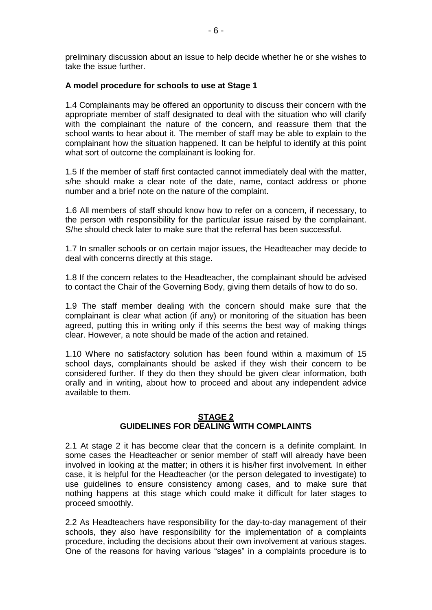preliminary discussion about an issue to help decide whether he or she wishes to take the issue further.

### **A model procedure for schools to use at Stage 1**

1.4 Complainants may be offered an opportunity to discuss their concern with the appropriate member of staff designated to deal with the situation who will clarify with the complainant the nature of the concern, and reassure them that the school wants to hear about it. The member of staff may be able to explain to the complainant how the situation happened. It can be helpful to identify at this point what sort of outcome the complainant is looking for.

1.5 If the member of staff first contacted cannot immediately deal with the matter, s/he should make a clear note of the date, name, contact address or phone number and a brief note on the nature of the complaint.

1.6 All members of staff should know how to refer on a concern, if necessary, to the person with responsibility for the particular issue raised by the complainant. S/he should check later to make sure that the referral has been successful.

1.7 In smaller schools or on certain major issues, the Headteacher may decide to deal with concerns directly at this stage.

1.8 If the concern relates to the Headteacher, the complainant should be advised to contact the Chair of the Governing Body, giving them details of how to do so.

1.9 The staff member dealing with the concern should make sure that the complainant is clear what action (if any) or monitoring of the situation has been agreed, putting this in writing only if this seems the best way of making things clear. However, a note should be made of the action and retained.

1.10 Where no satisfactory solution has been found within a maximum of 15 school days, complainants should be asked if they wish their concern to be considered further. If they do then they should be given clear information, both orally and in writing, about how to proceed and about any independent advice available to them.

### **STAGE 2 GUIDELINES FOR DEALING WITH COMPLAINTS**

2.1 At stage 2 it has become clear that the concern is a definite complaint. In some cases the Headteacher or senior member of staff will already have been involved in looking at the matter; in others it is his/her first involvement. In either case, it is helpful for the Headteacher (or the person delegated to investigate) to use guidelines to ensure consistency among cases, and to make sure that nothing happens at this stage which could make it difficult for later stages to proceed smoothly.

2.2 As Headteachers have responsibility for the day-to-day management of their schools, they also have responsibility for the implementation of a complaints procedure, including the decisions about their own involvement at various stages. One of the reasons for having various "stages" in a complaints procedure is to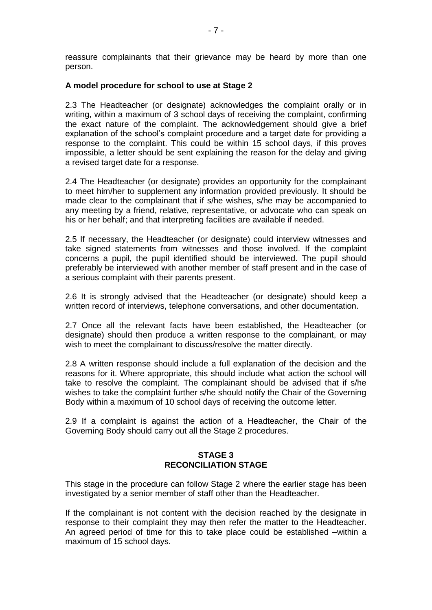reassure complainants that their grievance may be heard by more than one person.

### **A model procedure for school to use at Stage 2**

2.3 The Headteacher (or designate) acknowledges the complaint orally or in writing, within a maximum of 3 school days of receiving the complaint, confirming the exact nature of the complaint. The acknowledgement should give a brief explanation of the school's complaint procedure and a target date for providing a response to the complaint. This could be within 15 school days, if this proves impossible, a letter should be sent explaining the reason for the delay and giving a revised target date for a response.

2.4 The Headteacher (or designate) provides an opportunity for the complainant to meet him/her to supplement any information provided previously. It should be made clear to the complainant that if s/he wishes, s/he may be accompanied to any meeting by a friend, relative, representative, or advocate who can speak on his or her behalf; and that interpreting facilities are available if needed.

2.5 If necessary, the Headteacher (or designate) could interview witnesses and take signed statements from witnesses and those involved. If the complaint concerns a pupil, the pupil identified should be interviewed. The pupil should preferably be interviewed with another member of staff present and in the case of a serious complaint with their parents present.

2.6 It is strongly advised that the Headteacher (or designate) should keep a written record of interviews, telephone conversations, and other documentation.

2.7 Once all the relevant facts have been established, the Headteacher (or designate) should then produce a written response to the complainant, or may wish to meet the complainant to discuss/resolve the matter directly.

2.8 A written response should include a full explanation of the decision and the reasons for it. Where appropriate, this should include what action the school will take to resolve the complaint. The complainant should be advised that if s/he wishes to take the complaint further s/he should notify the Chair of the Governing Body within a maximum of 10 school days of receiving the outcome letter.

2.9 If a complaint is against the action of a Headteacher, the Chair of the Governing Body should carry out all the Stage 2 procedures.

### **STAGE 3 RECONCILIATION STAGE**

This stage in the procedure can follow Stage 2 where the earlier stage has been investigated by a senior member of staff other than the Headteacher.

If the complainant is not content with the decision reached by the designate in response to their complaint they may then refer the matter to the Headteacher. An agreed period of time for this to take place could be established –within a maximum of 15 school days.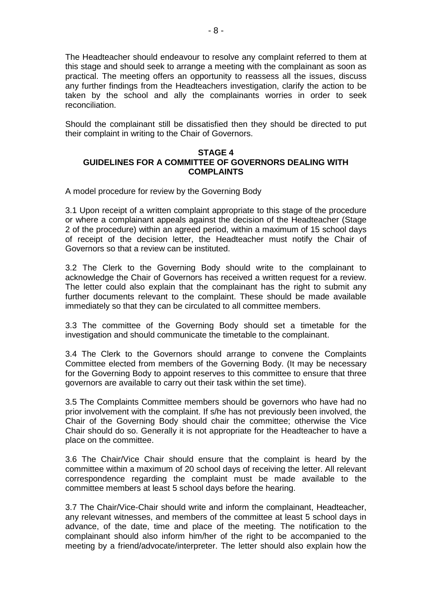The Headteacher should endeavour to resolve any complaint referred to them at this stage and should seek to arrange a meeting with the complainant as soon as practical. The meeting offers an opportunity to reassess all the issues, discuss any further findings from the Headteachers investigation, clarify the action to be taken by the school and ally the complainants worries in order to seek reconciliation.

Should the complainant still be dissatisfied then they should be directed to put their complaint in writing to the Chair of Governors.

### **STAGE 4 GUIDELINES FOR A COMMITTEE OF GOVERNORS DEALING WITH COMPLAINTS**

A model procedure for review by the Governing Body

3.1 Upon receipt of a written complaint appropriate to this stage of the procedure or where a complainant appeals against the decision of the Headteacher (Stage 2 of the procedure) within an agreed period, within a maximum of 15 school days of receipt of the decision letter, the Headteacher must notify the Chair of Governors so that a review can be instituted.

3.2 The Clerk to the Governing Body should write to the complainant to acknowledge the Chair of Governors has received a written request for a review. The letter could also explain that the complainant has the right to submit any further documents relevant to the complaint. These should be made available immediately so that they can be circulated to all committee members.

3.3 The committee of the Governing Body should set a timetable for the investigation and should communicate the timetable to the complainant.

3.4 The Clerk to the Governors should arrange to convene the Complaints Committee elected from members of the Governing Body. (It may be necessary for the Governing Body to appoint reserves to this committee to ensure that three governors are available to carry out their task within the set time).

3.5 The Complaints Committee members should be governors who have had no prior involvement with the complaint. If s/he has not previously been involved, the Chair of the Governing Body should chair the committee; otherwise the Vice Chair should do so. Generally it is not appropriate for the Headteacher to have a place on the committee.

3.6 The Chair/Vice Chair should ensure that the complaint is heard by the committee within a maximum of 20 school days of receiving the letter. All relevant correspondence regarding the complaint must be made available to the committee members at least 5 school days before the hearing.

3.7 The Chair/Vice-Chair should write and inform the complainant, Headteacher, any relevant witnesses, and members of the committee at least 5 school days in advance, of the date, time and place of the meeting. The notification to the complainant should also inform him/her of the right to be accompanied to the meeting by a friend/advocate/interpreter. The letter should also explain how the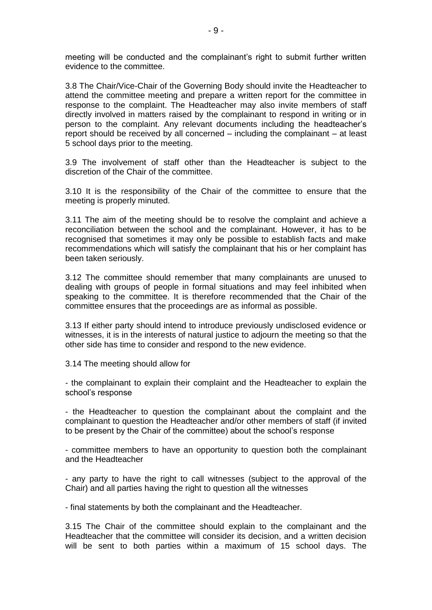meeting will be conducted and the complainant's right to submit further written evidence to the committee.

3.8 The Chair/Vice-Chair of the Governing Body should invite the Headteacher to attend the committee meeting and prepare a written report for the committee in response to the complaint. The Headteacher may also invite members of staff directly involved in matters raised by the complainant to respond in writing or in person to the complaint. Any relevant documents including the headteacher's report should be received by all concerned – including the complainant – at least 5 school days prior to the meeting.

3.9 The involvement of staff other than the Headteacher is subject to the discretion of the Chair of the committee.

3.10 It is the responsibility of the Chair of the committee to ensure that the meeting is properly minuted.

3.11 The aim of the meeting should be to resolve the complaint and achieve a reconciliation between the school and the complainant. However, it has to be recognised that sometimes it may only be possible to establish facts and make recommendations which will satisfy the complainant that his or her complaint has been taken seriously.

3.12 The committee should remember that many complainants are unused to dealing with groups of people in formal situations and may feel inhibited when speaking to the committee. It is therefore recommended that the Chair of the committee ensures that the proceedings are as informal as possible.

3.13 If either party should intend to introduce previously undisclosed evidence or witnesses, it is in the interests of natural justice to adjourn the meeting so that the other side has time to consider and respond to the new evidence.

3.14 The meeting should allow for

- the complainant to explain their complaint and the Headteacher to explain the school's response

- the Headteacher to question the complainant about the complaint and the complainant to question the Headteacher and/or other members of staff (if invited to be present by the Chair of the committee) about the school's response

- committee members to have an opportunity to question both the complainant and the Headteacher

- any party to have the right to call witnesses (subject to the approval of the Chair) and all parties having the right to question all the witnesses

- final statements by both the complainant and the Headteacher.

3.15 The Chair of the committee should explain to the complainant and the Headteacher that the committee will consider its decision, and a written decision will be sent to both parties within a maximum of 15 school days. The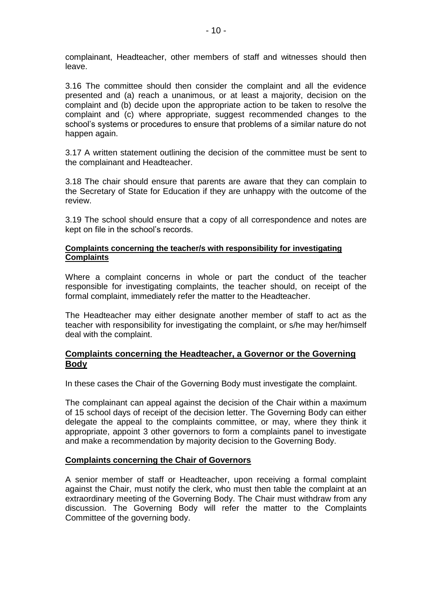complainant, Headteacher, other members of staff and witnesses should then leave.

3.16 The committee should then consider the complaint and all the evidence presented and (a) reach a unanimous, or at least a majority, decision on the complaint and (b) decide upon the appropriate action to be taken to resolve the complaint and (c) where appropriate, suggest recommended changes to the school's systems or procedures to ensure that problems of a similar nature do not happen again.

3.17 A written statement outlining the decision of the committee must be sent to the complainant and Headteacher.

3.18 The chair should ensure that parents are aware that they can complain to the Secretary of State for Education if they are unhappy with the outcome of the review.

3.19 The school should ensure that a copy of all correspondence and notes are kept on file in the school's records.

### **Complaints concerning the teacher/s with responsibility for investigating Complaints**

Where a complaint concerns in whole or part the conduct of the teacher responsible for investigating complaints, the teacher should, on receipt of the formal complaint, immediately refer the matter to the Headteacher.

The Headteacher may either designate another member of staff to act as the teacher with responsibility for investigating the complaint, or s/he may her/himself deal with the complaint.

### **Complaints concerning the Headteacher, a Governor or the Governing Body**

In these cases the Chair of the Governing Body must investigate the complaint.

The complainant can appeal against the decision of the Chair within a maximum of 15 school days of receipt of the decision letter. The Governing Body can either delegate the appeal to the complaints committee, or may, where they think it appropriate, appoint 3 other governors to form a complaints panel to investigate and make a recommendation by majority decision to the Governing Body.

### **Complaints concerning the Chair of Governors**

A senior member of staff or Headteacher, upon receiving a formal complaint against the Chair, must notify the clerk, who must then table the complaint at an extraordinary meeting of the Governing Body. The Chair must withdraw from any discussion. The Governing Body will refer the matter to the Complaints Committee of the governing body.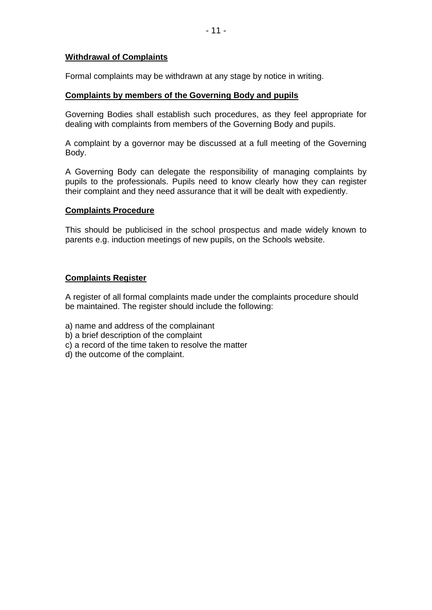### **Withdrawal of Complaints**

Formal complaints may be withdrawn at any stage by notice in writing.

### **Complaints by members of the Governing Body and pupils**

Governing Bodies shall establish such procedures, as they feel appropriate for dealing with complaints from members of the Governing Body and pupils.

A complaint by a governor may be discussed at a full meeting of the Governing Body.

A Governing Body can delegate the responsibility of managing complaints by pupils to the professionals. Pupils need to know clearly how they can register their complaint and they need assurance that it will be dealt with expediently.

### **Complaints Procedure**

This should be publicised in the school prospectus and made widely known to parents e.g. induction meetings of new pupils, on the Schools website.

# **Complaints Register**

A register of all formal complaints made under the complaints procedure should be maintained. The register should include the following:

- a) name and address of the complainant
- b) a brief description of the complaint
- c) a record of the time taken to resolve the matter
- d) the outcome of the complaint.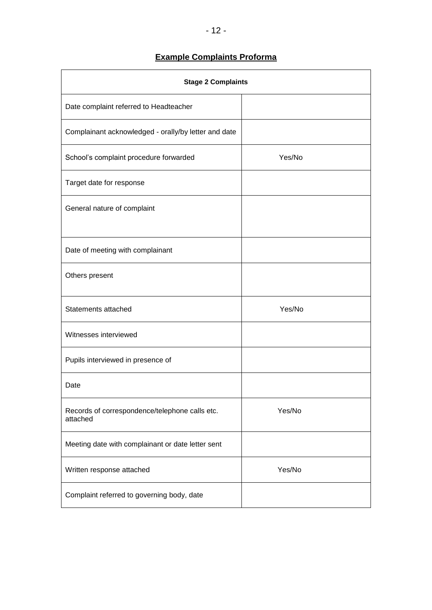# **Example Complaints Proforma**

| <b>Stage 2 Complaints</b>                                  |        |  |
|------------------------------------------------------------|--------|--|
| Date complaint referred to Headteacher                     |        |  |
| Complainant acknowledged - orally/by letter and date       |        |  |
| School's complaint procedure forwarded                     | Yes/No |  |
| Target date for response                                   |        |  |
| General nature of complaint                                |        |  |
| Date of meeting with complainant                           |        |  |
| Others present                                             |        |  |
| Statements attached                                        | Yes/No |  |
| Witnesses interviewed                                      |        |  |
| Pupils interviewed in presence of                          |        |  |
| Date                                                       |        |  |
| Records of correspondence/telephone calls etc.<br>attached | Yes/No |  |
| Meeting date with complainant or date letter sent          |        |  |
| Written response attached                                  | Yes/No |  |
| Complaint referred to governing body, date                 |        |  |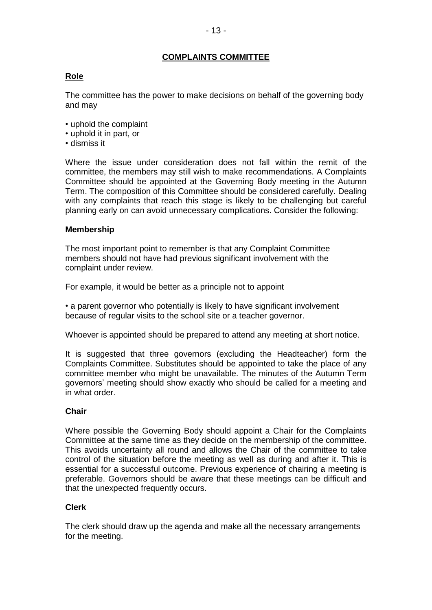# **COMPLAINTS COMMITTEE**

# **Role**

The committee has the power to make decisions on behalf of the governing body and may

- uphold the complaint
- uphold it in part, or
- dismiss it

Where the issue under consideration does not fall within the remit of the committee, the members may still wish to make recommendations. A Complaints Committee should be appointed at the Governing Body meeting in the Autumn Term. The composition of this Committee should be considered carefully. Dealing with any complaints that reach this stage is likely to be challenging but careful planning early on can avoid unnecessary complications. Consider the following:

### **Membership**

The most important point to remember is that any Complaint Committee members should not have had previous significant involvement with the complaint under review.

For example, it would be better as a principle not to appoint

• a parent governor who potentially is likely to have significant involvement because of regular visits to the school site or a teacher governor.

Whoever is appointed should be prepared to attend any meeting at short notice.

It is suggested that three governors (excluding the Headteacher) form the Complaints Committee. Substitutes should be appointed to take the place of any committee member who might be unavailable. The minutes of the Autumn Term governors' meeting should show exactly who should be called for a meeting and in what order.

### **Chair**

Where possible the Governing Body should appoint a Chair for the Complaints Committee at the same time as they decide on the membership of the committee. This avoids uncertainty all round and allows the Chair of the committee to take control of the situation before the meeting as well as during and after it. This is essential for a successful outcome. Previous experience of chairing a meeting is preferable. Governors should be aware that these meetings can be difficult and that the unexpected frequently occurs.

### **Clerk**

The clerk should draw up the agenda and make all the necessary arrangements for the meeting.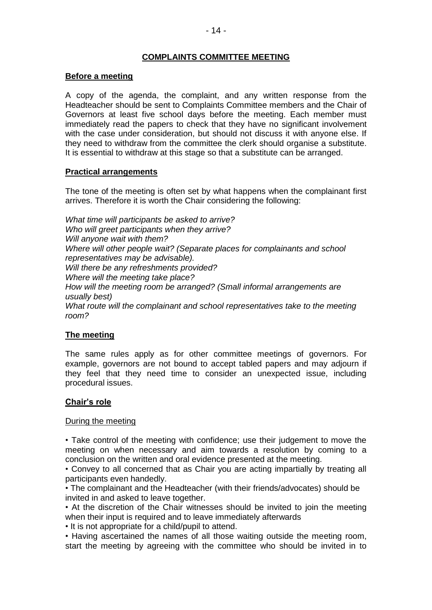# **COMPLAINTS COMMITTEE MEETING**

### **Before a meeting**

A copy of the agenda, the complaint, and any written response from the Headteacher should be sent to Complaints Committee members and the Chair of Governors at least five school days before the meeting. Each member must immediately read the papers to check that they have no significant involvement with the case under consideration, but should not discuss it with anyone else. If they need to withdraw from the committee the clerk should organise a substitute. It is essential to withdraw at this stage so that a substitute can be arranged.

### **Practical arrangements**

The tone of the meeting is often set by what happens when the complainant first arrives. Therefore it is worth the Chair considering the following:

*What time will participants be asked to arrive? Who will greet participants when they arrive? Will anyone wait with them? Where will other people wait? (Separate places for complainants and school representatives may be advisable). Will there be any refreshments provided? Where will the meeting take place? How will the meeting room be arranged? (Small informal arrangements are usually best)* What route will the complainant and school representatives take to the meeting *room?*

# **The meeting**

The same rules apply as for other committee meetings of governors. For example, governors are not bound to accept tabled papers and may adjourn if they feel that they need time to consider an unexpected issue, including procedural issues.

### **Chair's role**

### During the meeting

• Take control of the meeting with confidence; use their judgement to move the meeting on when necessary and aim towards a resolution by coming to a conclusion on the written and oral evidence presented at the meeting.

• Convey to all concerned that as Chair you are acting impartially by treating all participants even handedly.

• The complainant and the Headteacher (with their friends/advocates) should be invited in and asked to leave together.

• At the discretion of the Chair witnesses should be invited to join the meeting when their input is required and to leave immediately afterwards

• It is not appropriate for a child/pupil to attend.

• Having ascertained the names of all those waiting outside the meeting room, start the meeting by agreeing with the committee who should be invited in to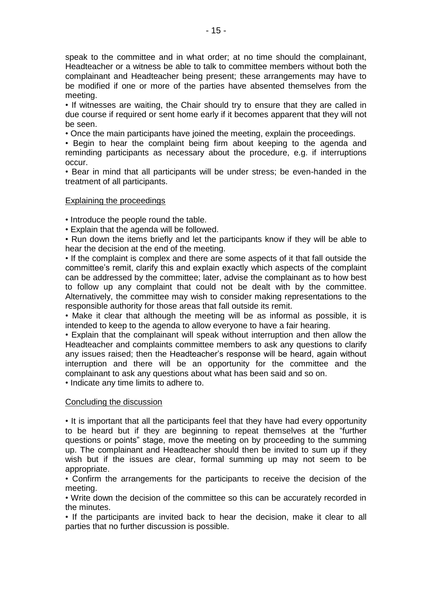speak to the committee and in what order; at no time should the complainant, Headteacher or a witness be able to talk to committee members without both the complainant and Headteacher being present; these arrangements may have to be modified if one or more of the parties have absented themselves from the meeting.

• If witnesses are waiting, the Chair should try to ensure that they are called in due course if required or sent home early if it becomes apparent that they will not be seen.

• Once the main participants have joined the meeting, explain the proceedings.

• Begin to hear the complaint being firm about keeping to the agenda and reminding participants as necessary about the procedure, e.g. if interruptions occur.

• Bear in mind that all participants will be under stress; be even-handed in the treatment of all participants.

### Explaining the proceedings

• Introduce the people round the table.

• Explain that the agenda will be followed.

• Run down the items briefly and let the participants know if they will be able to hear the decision at the end of the meeting.

• If the complaint is complex and there are some aspects of it that fall outside the committee's remit, clarify this and explain exactly which aspects of the complaint can be addressed by the committee; later, advise the complainant as to how best to follow up any complaint that could not be dealt with by the committee. Alternatively, the committee may wish to consider making representations to the responsible authority for those areas that fall outside its remit.

• Make it clear that although the meeting will be as informal as possible, it is intended to keep to the agenda to allow everyone to have a fair hearing.

• Explain that the complainant will speak without interruption and then allow the Headteacher and complaints committee members to ask any questions to clarify any issues raised; then the Headteacher's response will be heard, again without interruption and there will be an opportunity for the committee and the complainant to ask any questions about what has been said and so on.

• Indicate any time limits to adhere to.

#### Concluding the discussion

• It is important that all the participants feel that they have had every opportunity to be heard but if they are beginning to repeat themselves at the "further questions or points" stage, move the meeting on by proceeding to the summing up. The complainant and Headteacher should then be invited to sum up if they wish but if the issues are clear, formal summing up may not seem to be appropriate.

• Confirm the arrangements for the participants to receive the decision of the meeting.

• Write down the decision of the committee so this can be accurately recorded in the minutes.

• If the participants are invited back to hear the decision, make it clear to all parties that no further discussion is possible.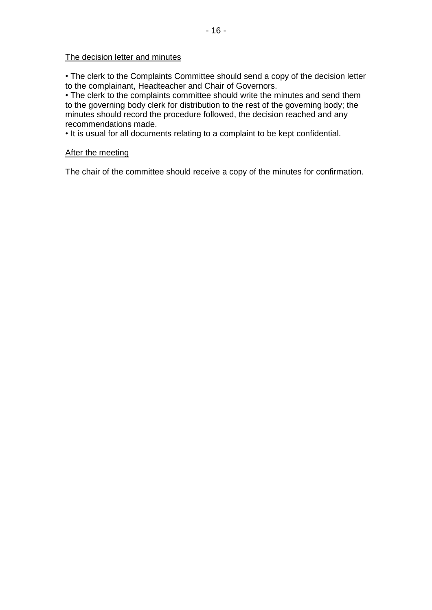### The decision letter and minutes

• The clerk to the Complaints Committee should send a copy of the decision letter to the complainant, Headteacher and Chair of Governors.

• The clerk to the complaints committee should write the minutes and send them to the governing body clerk for distribution to the rest of the governing body; the minutes should record the procedure followed, the decision reached and any recommendations made.

• It is usual for all documents relating to a complaint to be kept confidential.

#### After the meeting

The chair of the committee should receive a copy of the minutes for confirmation.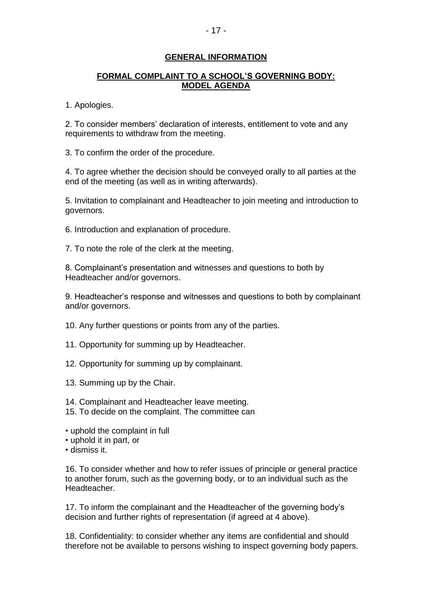### **GENERAL INFORMATION**

### **FORMAL COMPLAINT TO A SCHOOL'S GOVERNING BODY: MODEL AGENDA**

1. Apologies.

2. To consider members' declaration of interests, entitlement to vote and any requirements to withdraw from the meeting.

3. To confirm the order of the procedure.

4. To agree whether the decision should be conveyed orally to all parties at the end of the meeting (as well as in writing afterwards).

5. Invitation to complainant and Headteacher to join meeting and introduction to governors.

6. Introduction and explanation of procedure.

7. To note the role of the clerk at the meeting.

8. Complainant's presentation and witnesses and questions to both by Headteacher and/or governors.

9. Headteacher's response and witnesses and questions to both by complainant and/or governors.

10. Any further questions or points from any of the parties.

11. Opportunity for summing up by Headteacher.

12. Opportunity for summing up by complainant.

13. Summing up by the Chair.

14. Complainant and Headteacher leave meeting.

15. To decide on the complaint. The committee can

• uphold the complaint in full

• uphold it in part, or

• dismiss it.

16. To consider whether and how to refer issues of principle or general practice to another forum, such as the governing body, or to an individual such as the Headteacher.

17. To inform the complainant and the Headteacher of the governing body's decision and further rights of representation (if agreed at 4 above).

18. Confidentiality: to consider whether any items are confidential and should therefore not be available to persons wishing to inspect governing body papers.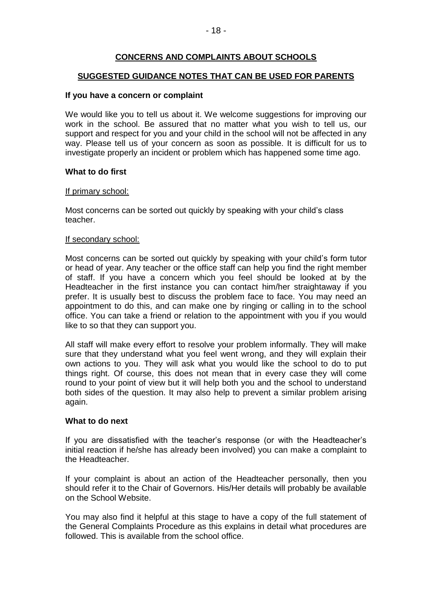# **CONCERNS AND COMPLAINTS ABOUT SCHOOLS**

### **SUGGESTED GUIDANCE NOTES THAT CAN BE USED FOR PARENTS**

#### **If you have a concern or complaint**

We would like you to tell us about it. We welcome suggestions for improving our work in the school. Be assured that no matter what you wish to tell us, our support and respect for you and your child in the school will not be affected in any way. Please tell us of your concern as soon as possible. It is difficult for us to investigate properly an incident or problem which has happened some time ago.

### **What to do first**

#### If primary school:

Most concerns can be sorted out quickly by speaking with your child's class teacher.

### If secondary school:

Most concerns can be sorted out quickly by speaking with your child's form tutor or head of year. Any teacher or the office staff can help you find the right member of staff. If you have a concern which you feel should be looked at by the Headteacher in the first instance you can contact him/her straightaway if you prefer. It is usually best to discuss the problem face to face. You may need an appointment to do this, and can make one by ringing or calling in to the school office. You can take a friend or relation to the appointment with you if you would like to so that they can support you.

All staff will make every effort to resolve your problem informally. They will make sure that they understand what you feel went wrong, and they will explain their own actions to you. They will ask what you would like the school to do to put things right. Of course, this does not mean that in every case they will come round to your point of view but it will help both you and the school to understand both sides of the question. It may also help to prevent a similar problem arising again.

#### **What to do next**

If you are dissatisfied with the teacher's response (or with the Headteacher's initial reaction if he/she has already been involved) you can make a complaint to the Headteacher.

If your complaint is about an action of the Headteacher personally, then you should refer it to the Chair of Governors. His/Her details will probably be available on the School Website.

You may also find it helpful at this stage to have a copy of the full statement of the General Complaints Procedure as this explains in detail what procedures are followed. This is available from the school office.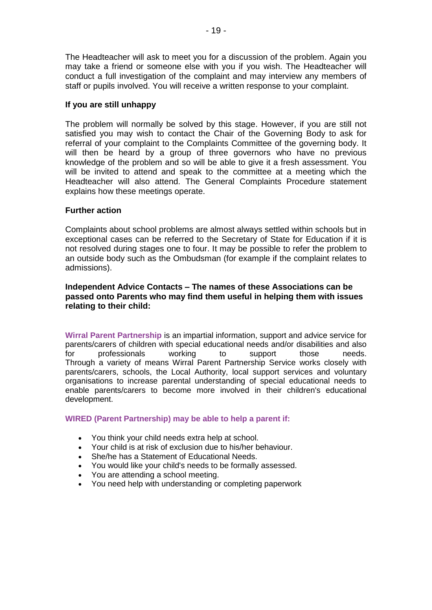The Headteacher will ask to meet you for a discussion of the problem. Again you may take a friend or someone else with you if you wish. The Headteacher will conduct a full investigation of the complaint and may interview any members of staff or pupils involved. You will receive a written response to your complaint.

### **If you are still unhappy**

The problem will normally be solved by this stage. However, if you are still not satisfied you may wish to contact the Chair of the Governing Body to ask for referral of your complaint to the Complaints Committee of the governing body. It will then be heard by a group of three governors who have no previous knowledge of the problem and so will be able to give it a fresh assessment. You will be invited to attend and speak to the committee at a meeting which the Headteacher will also attend. The General Complaints Procedure statement explains how these meetings operate.

### **Further action**

Complaints about school problems are almost always settled within schools but in exceptional cases can be referred to the Secretary of State for Education if it is not resolved during stages one to four. It may be possible to refer the problem to an outside body such as the Ombudsman (for example if the complaint relates to admissions).

### **Independent Advice Contacts – The names of these Associations can be passed onto Parents who may find them useful in helping them with issues relating to their child:**

**Wirral Parent Partnership** is an impartial information, support and advice service for parents/carers of children with special educational needs and/or disabilities and also for professionals working to support those needs. Through a variety of means Wirral Parent Partnership Service works closely with parents/carers, schools, the Local Authority, local support services and voluntary organisations to increase parental understanding of special educational needs to enable parents/carers to become more involved in their children's educational development.

### **WIRED (Parent Partnership) may be able to help a parent if:**

- You think your child needs extra help at school.
- Your child is at risk of exclusion due to his/her behaviour.
- She/he has a Statement of Educational Needs.
- You would like your child's needs to be formally assessed.
- You are attending a school meeting.
- You need help with understanding or completing paperwork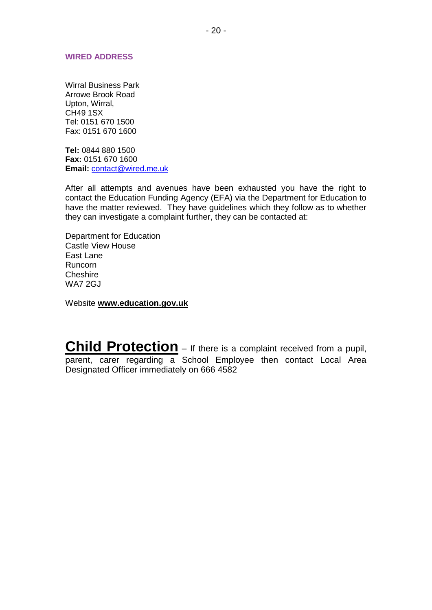#### **WIRED ADDRESS**

Wirral Business Park Arrowe Brook Road Upton, Wirral, CH49 1SX Tel: 0151 670 1500 Fax: 0151 670 1600

**Tel:** 0844 880 1500 **Fax:** 0151 670 1600 **Email:** [contact@wired.me.uk](mailto:ppadmin@wired.me.uk)

After all attempts and avenues have been exhausted you have the right to contact the Education Funding Agency (EFA) via the Department for Education to have the matter reviewed. They have guidelines which they follow as to whether they can investigate a complaint further, they can be contacted at:

Department for Education Castle View House East Lane Runcorn Cheshire WA7 2GJ

Website **www.education.gov.uk**

**Child Protection** – If there is a complaint received from a pupil, parent, carer regarding a School Employee then contact Local Area Designated Officer immediately on 666 4582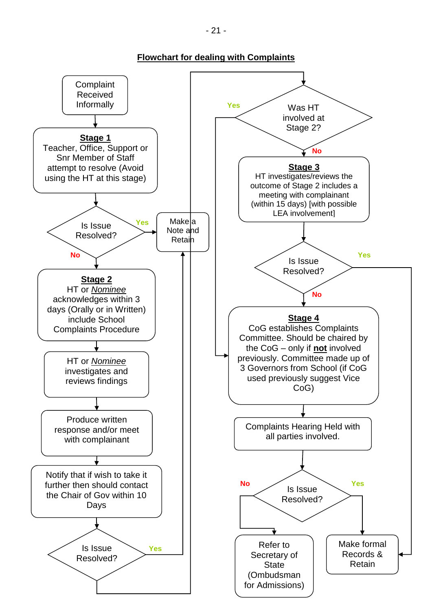**Flowchart for dealing with Complaints**